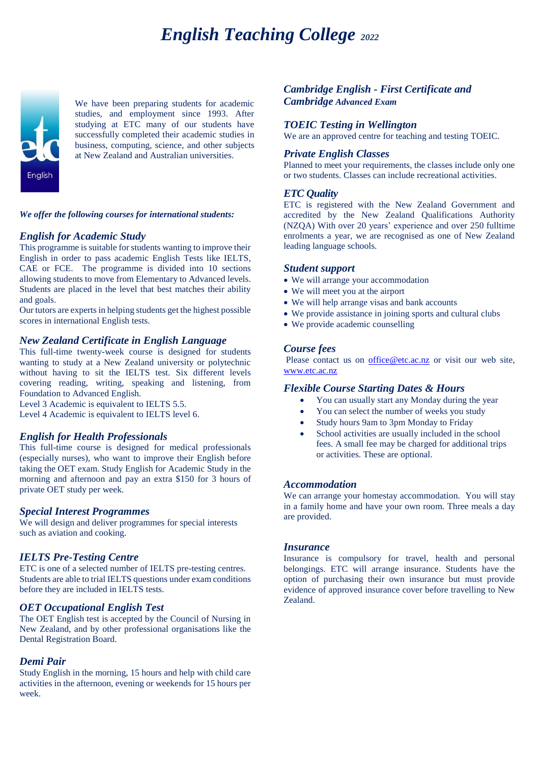# *English Teaching College <sup>2022</sup>*



We have been preparing students for academic studies, and employment since 1993. After studying at ETC many of our students have successfully completed their academic studies in business, computing, science, and other subjects at New Zealand and Australian universities.

# *We offer the following courses for international students:*

# *English for Academic Study*

This programme is suitable for students wanting to improve their English in order to pass academic English Tests like IELTS, CAE or FCE. The programme is divided into 10 sections allowing students to move from Elementary to Advanced levels. Students are placed in the level that best matches their ability and goals.

Our tutors are experts in helping students get the highest possible scores in international English tests.

# *New Zealand Certificate in English Language*

This full-time twenty-week course is designed for students wanting to study at a New Zealand university or polytechnic without having to sit the IELTS test. Six different levels covering reading, writing, speaking and listening, from Foundation to Advanced English.

Level 3 Academic is equivalent to IELTS 5.5. Level 4 Academic is equivalent to IELTS level 6.

## *English for Health Professionals*

This full-time course is designed for medical professionals (especially nurses), who want to improve their English before taking the OET exam. Study English for Academic Study in the morning and afternoon and pay an extra \$150 for 3 hours of private OET study per week.

## *Special Interest Programmes*

We will design and deliver programmes for special interests such as aviation and cooking.

## *IELTS Pre-Testing Centre*

ETC is one of a selected number of IELTS pre-testing centres. Students are able to trial IELTS questions under exam conditions before they are included in IELTS tests.

## *OET Occupational English Test*

The OET English test is accepted by the Council of Nursing in New Zealand, and by other professional organisations like the Dental Registration Board.

## *Demi Pair*

Study English in the morning, 15 hours and help with child care activities in the afternoon, evening or weekends for 15 hours per week.

# *Cambridge English - First Certificate and Cambridge Advanced Exam*

## *TOEIC Testing in Wellington*

We are an approved centre for teaching and testing TOEIC.

## *Private English Classes*

Planned to meet your requirements, the classes include only one or two students. Classes can include recreational activities.

## *ETC Quality*

ETC is registered with the New Zealand Government and accredited by the New Zealand Qualifications Authority (NZQA) With over 20 years' experience and over 250 fulltime enrolments a year, we are recognised as one of New Zealand leading language schools.

### *Student support*

- We will arrange your accommodation
- We will meet you at the airport
- We will help arrange visas and bank accounts
- We provide assistance in joining sports and cultural clubs
- We provide academic counselling

### *Course fees*

Please contact us on **office@etc.ac.nz** or visit our web site, [www.etc.ac.nz](http://www.etc.ac.nz/)

## *Flexible Course Starting Dates & Hours*

- You can usually start any Monday during the year
- You can select the number of weeks you study
- Study hours 9am to 3pm Monday to Friday
- School activities are usually included in the school fees. A small fee may be charged for additional trips or activities. These are optional.

### *Accommodation*

We can arrange your homestay accommodation. You will stay in a family home and have your own room. Three meals a day are provided.

### *Insurance*

Insurance is compulsory for travel, health and personal belongings. ETC will arrange insurance. Students have the option of purchasing their own insurance but must provide evidence of approved insurance cover before travelling to New Zealand.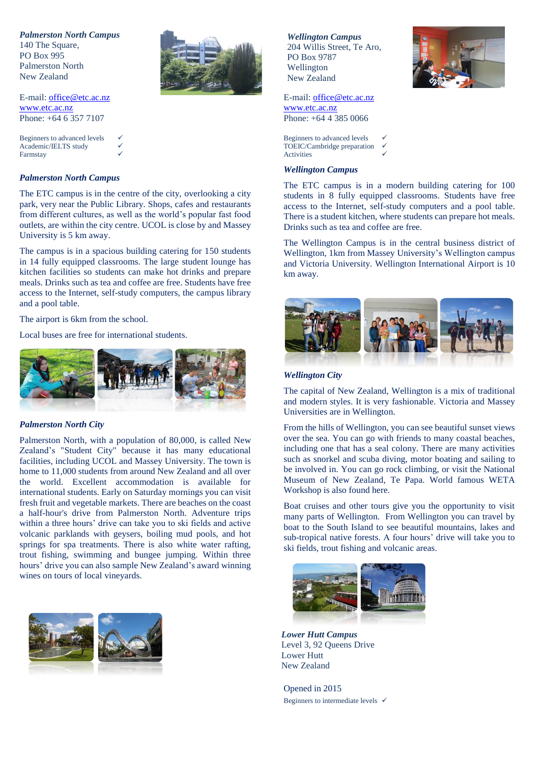*Palmerston North Campus*

140 The Square, PO Box 995 Palmerston North New Zealand



E-mail: [office@etc.ac.nz](mailto:office@etc.ac.nz) [www.etc.ac.nz](http://www.etc.ac.nz/) Phone: +64 6 357 7107

Beginners to advanced levels Academic/IELTS study Farmstay

### *Palmerston North Campus*

The ETC campus is in the centre of the city, overlooking a city park, very near the Public Library. Shops, cafes and restaurants from different cultures, as well as the world's popular fast food outlets, are within the city centre. UCOL is close by and Massey University is 5 km away.

The campus is in a spacious building catering for 150 students in 14 fully equipped classrooms. The large student lounge has kitchen facilities so students can make hot drinks and prepare meals. Drinks such as tea and coffee are free. Students have free access to the Internet, self-study computers, the campus library and a pool table.

The airport is 6km from the school.

Local buses are free for international students.



#### *Palmerston North City*

Palmerston North, with a population of 80,000, is called New Zealand's "Student City" because it has many educational facilities, including UCOL and Massey University. The town is home to 11,000 students from around New Zealand and all over the world. Excellent accommodation is available for international students. Early on Saturday mornings you can visit fresh fruit and vegetable markets. There are beaches on the coast a half-hour's drive from Palmerston North. Adventure trips within a three hours' drive can take you to ski fields and active volcanic parklands with geysers, boiling mud pools, and hot springs for spa treatments. There is also white water rafting, trout fishing, swimming and bungee jumping. Within three hours' drive you can also sample New Zealand's award winning wines on tours of local vineyards.



*Wellington Campus* 204 Willis Street, Te Aro, PO Box 9787 Wellington New Zealand



E-mail: [office@etc.ac.nz](mailto:office@etc.ac.nz) [www.etc.ac.nz](http://www.etc.ac.nz/) Phone: +64 4 385 0066

Beginners to advanced levels TOEIC/Cambridge preparation Activities

## *Wellington Campus*

The ETC campus is in a modern building catering for 100 students in 8 fully equipped classrooms. Students have free access to the Internet, self-study computers and a pool table. There is a student kitchen, where students can prepare hot meals. Drinks such as tea and coffee are free.

The Wellington Campus is in the central business district of Wellington, 1km from Massey University's Wellington campus and Victoria University. Wellington International Airport is 10 km away.



## *Wellington City*

The capital of New Zealand, Wellington is a mix of traditional and modern styles. It is very fashionable. Victoria and Massey Universities are in Wellington.

From the hills of Wellington, you can see beautiful sunset views over the sea. You can go with friends to many coastal beaches, including one that has a seal colony. There are many activities such as snorkel and scuba diving, motor boating and sailing to be involved in. You can go rock climbing, or visit the National Museum of New Zealand, Te Papa. World famous WETA Workshop is also found here.

Boat cruises and other tours give you the opportunity to visit many parts of Wellington. From Wellington you can travel by boat to the South Island to see beautiful mountains, lakes and sub-tropical native forests. A four hours' drive will take you to ski fields, trout fishing and volcanic areas.



*Lower Hutt Campus* Level 3, 92 Queens Drive Lower Hutt New Zealand

Opened in 2015 Beginners to intermediate levels  $\checkmark$